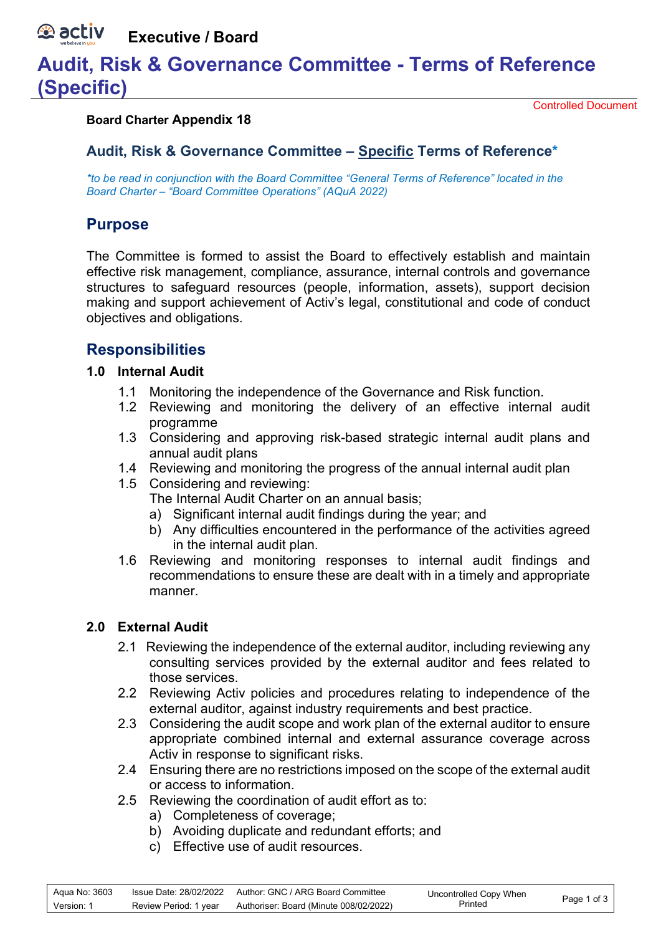#### **A** activ **Executive / Board**

# **Audit, Risk & Governance Committee - Terms of Reference (Specific)**

### **Board Charter Appendix 18**

Controlled Document

# **Audit, Risk & Governance Committee – Specific Terms of Reference\***

*\*to be read in conjunction with the Board Committee "General Terms of Reference" located in the Board Charter – "Board Committee Operations" (AQuA 2022)*

# **Purpose**

The Committee is formed to assist the Board to effectively establish and maintain effective risk management, compliance, assurance, internal controls and governance structures to safeguard resources (people, information, assets), support decision making and support achievement of Activ's legal, constitutional and code of conduct objectives and obligations.

# **Responsibilities**

## **1.0 Internal Audit**

- 1.1 Monitoring the independence of the Governance and Risk function.
- 1.2 Reviewing and monitoring the delivery of an effective internal audit programme
- 1.3 Considering and approving risk-based strategic internal audit plans and annual audit plans
- 1.4 Reviewing and monitoring the progress of the annual internal audit plan
- 1.5 Considering and reviewing:
	- The Internal Audit Charter on an annual basis;
	- a) Significant internal audit findings during the year; and
	- b) Any difficulties encountered in the performance of the activities agreed in the internal audit plan.
- 1.6 Reviewing and monitoring responses to internal audit findings and recommendations to ensure these are dealt with in a timely and appropriate manner.

## **2.0 External Audit**

- 2.1 Reviewing the independence of the external auditor, including reviewing any consulting services provided by the external auditor and fees related to those services.
- 2.2 Reviewing Activ policies and procedures relating to independence of the external auditor, against industry requirements and best practice.
- 2.3 Considering the audit scope and work plan of the external auditor to ensure appropriate combined internal and external assurance coverage across Activ in response to significant risks.
- 2.4 Ensuring there are no restrictions imposed on the scope of the external audit or access to information.
- 2.5 Reviewing the coordination of audit effort as to:
	- a) Completeness of coverage;
	- b) Avoiding duplicate and redundant efforts; and
	- c) Effective use of audit resources.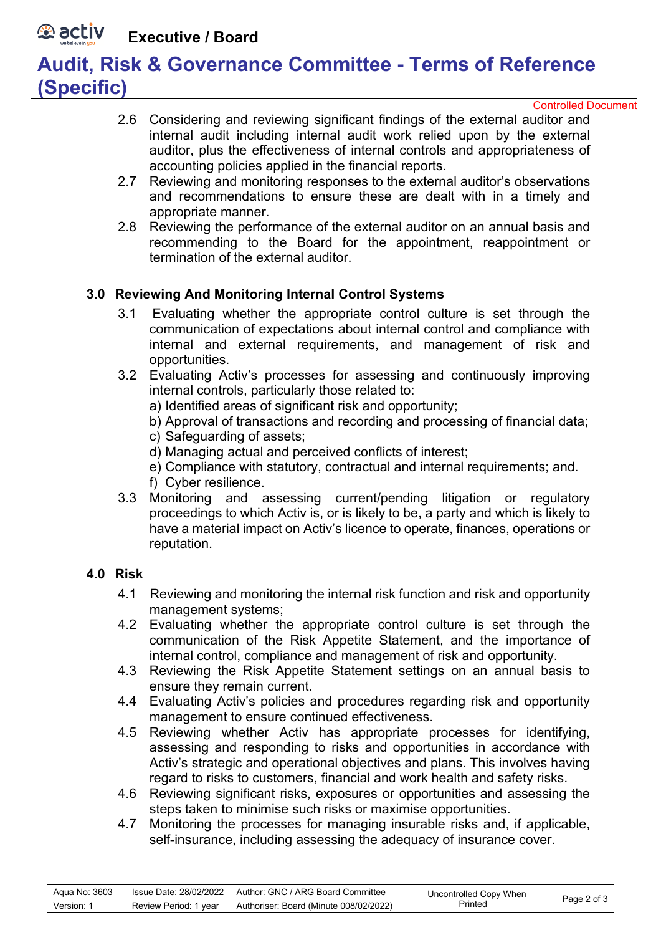#### *<b>D* activ **Executive / Board**

# **Audit, Risk & Governance Committee - Terms of Reference (Specific)**

Controlled Document

- 2.6 Considering and reviewing significant findings of the external auditor and internal audit including internal audit work relied upon by the external auditor, plus the effectiveness of internal controls and appropriateness of accounting policies applied in the financial reports.
- 2.7 Reviewing and monitoring responses to the external auditor's observations and recommendations to ensure these are dealt with in a timely and appropriate manner.
- 2.8 Reviewing the performance of the external auditor on an annual basis and recommending to the Board for the appointment, reappointment or termination of the external auditor.

## **3.0 Reviewing And Monitoring Internal Control Systems**

- 3.1 Evaluating whether the appropriate control culture is set through the communication of expectations about internal control and compliance with internal and external requirements, and management of risk and opportunities.
- 3.2 Evaluating Activ's processes for assessing and continuously improving internal controls, particularly those related to:
	- a) Identified areas of significant risk and opportunity;
	- b) Approval of transactions and recording and processing of financial data;
	- c) Safeguarding of assets;
	- d) Managing actual and perceived conflicts of interest;
	- e) Compliance with statutory, contractual and internal requirements; and.
	- f) Cyber resilience.
- 3.3 Monitoring and assessing current/pending litigation or regulatory proceedings to which Activ is, or is likely to be, a party and which is likely to have a material impact on Activ's licence to operate, finances, operations or reputation.

## **4.0 Risk**

- 4.1 Reviewing and monitoring the internal risk function and risk and opportunity management systems;
- 4.2 Evaluating whether the appropriate control culture is set through the communication of the Risk Appetite Statement, and the importance of internal control, compliance and management of risk and opportunity.
- 4.3 Reviewing the Risk Appetite Statement settings on an annual basis to ensure they remain current.
- 4.4 Evaluating Activ's policies and procedures regarding risk and opportunity management to ensure continued effectiveness.
- 4.5 Reviewing whether Activ has appropriate processes for identifying, assessing and responding to risks and opportunities in accordance with Activ's strategic and operational objectives and plans. This involves having regard to risks to customers, financial and work health and safety risks.
- 4.6 Reviewing significant risks, exposures or opportunities and assessing the steps taken to minimise such risks or maximise opportunities.
- 4.7 Monitoring the processes for managing insurable risks and, if applicable, self-insurance, including assessing the adequacy of insurance cover.

| Aqua No: 3603 |                       | Issue Date: 28/02/2022 Author: GNC / ARG Board Committee | Uncontrolled Copy When | Page 2 of 3 |
|---------------|-----------------------|----------------------------------------------------------|------------------------|-------------|
| Version: 1    | Review Period: 1 year | Authoriser: Board (Minute 008/02/2022)                   | Printed                |             |